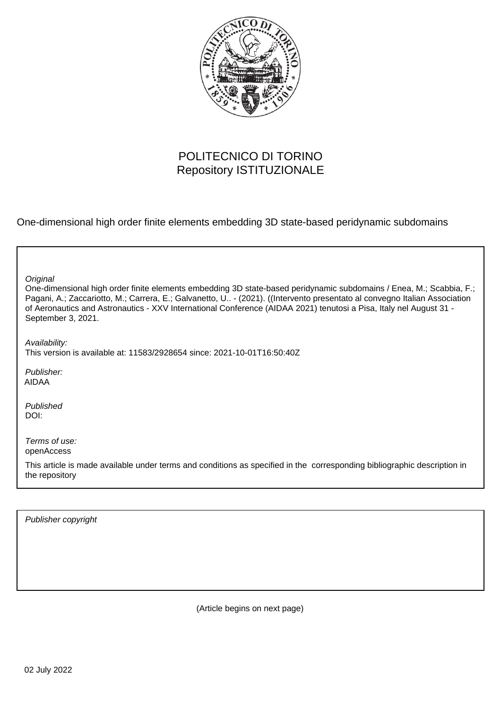

# POLITECNICO DI TORINO Repository ISTITUZIONALE

One-dimensional high order finite elements embedding 3D state-based peridynamic subdomains

| Original<br>One-dimensional high order finite elements embedding 3D state-based peridynamic subdomains / Enea, M.; Scabbia, F.;<br>Pagani, A.; Zaccariotto, M.; Carrera, E.; Galvanetto, U - (2021). ((Intervento presentato al convegno Italian Association<br>of Aeronautics and Astronautics - XXV International Conference (AIDAA 2021) tenutosi a Pisa, Italy nel August 31 -<br>September 3, 2021. |
|----------------------------------------------------------------------------------------------------------------------------------------------------------------------------------------------------------------------------------------------------------------------------------------------------------------------------------------------------------------------------------------------------------|
| Availability:<br>This version is available at: 11583/2928654 since: 2021-10-01T16:50:40Z                                                                                                                                                                                                                                                                                                                 |
| Publisher:<br><b>AIDAA</b>                                                                                                                                                                                                                                                                                                                                                                               |
| Published<br>DOI:                                                                                                                                                                                                                                                                                                                                                                                        |
| Terms of use:<br>openAccess                                                                                                                                                                                                                                                                                                                                                                              |
| This article is made available under terms and conditions as specified in the corresponding bibliographic description in<br>the repository                                                                                                                                                                                                                                                               |

Publisher copyright

(Article begins on next page)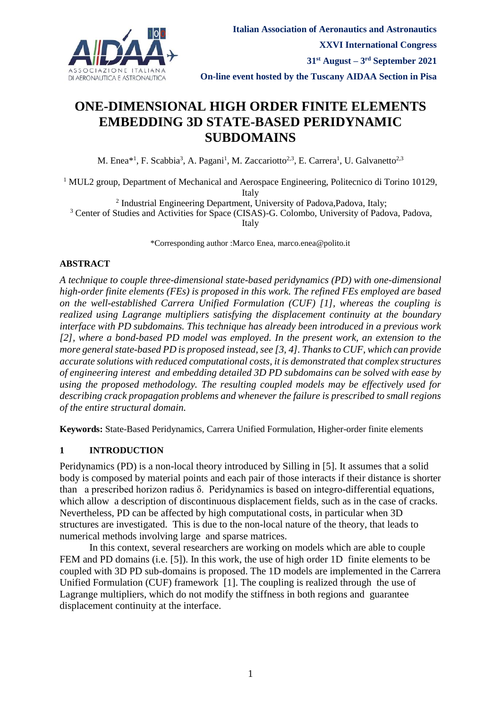

# **ONE-DIMENSIONAL HIGH ORDER FINITE ELEMENTS EMBEDDING 3D STATE-BASED PERIDYNAMIC SUBDOMAINS**

M. Enea\*<sup>1</sup>, F. Scabbia<sup>3</sup>, A. Pagani<sup>1</sup>, M. Zaccariotto<sup>2,3</sup>, E. Carrera<sup>1</sup>, U. Galvanetto<sup>2,3</sup>

<sup>1</sup> MUL2 group, Department of Mechanical and Aerospace Engineering, Politecnico di Torino 10129, Italy

<sup>2</sup> Industrial Engineering Department, University of Padova, Padova, Italy;

<sup>3</sup> Center of Studies and Activities for Space (CISAS)-G. Colombo, University of Padova, Padova,

Italy

\*Corresponding author :Marco Enea, marco.enea@polito.it

#### **ABSTRACT**

*A technique to couple three-dimensional state-based peridynamics (PD) with one-dimensional high-order finite elements (FEs) is proposed in this work. The refined FEs employed are based on the well-established Carrera Unified Formulation (CUF) [1], whereas the coupling is realized using Lagrange multipliers satisfying the displacement continuity at the boundary interface with PD subdomains. This technique has already been introduced in a previous work [2], where a bond-based PD model was employed. In the present work, an extension to the more general state-based PD is proposed instead, see [3, 4]. Thanks to CUF, which can provide accurate solutions with reduced computational costs, it is demonstrated that complex structures of engineering interest and embedding detailed 3D PD subdomains can be solved with ease by using the proposed methodology. The resulting coupled models may be effectively used for describing crack propagation problems and whenever the failure is prescribed to small regions of the entire structural domain.*

**Keywords:** State-Based Peridynamics, Carrera Unified Formulation, Higher-order finite elements

### **1 INTRODUCTION**

Peridynamics (PD) is a non-local theory introduced by Silling in [5]. It assumes that a solid body is composed by material points and each pair of those interacts if their distance is shorter than a prescribed horizon radius δ. Peridynamics is based on integro-differential equations, which allow a description of discontinuous displacement fields, such as in the case of cracks. Nevertheless, PD can be affected by high computational costs, in particular when 3D structures are investigated. This is due to the non-local nature of the theory, that leads to numerical methods involving large and sparse matrices.

In this context, several researchers are working on models which are able to couple FEM and PD domains (i.e. [5]). In this work, the use of high order 1D finite elements to be coupled with 3D PD sub-domains is proposed. The 1D models are implemented in the Carrera Unified Formulation (CUF) framework [1]. The coupling is realized through the use of Lagrange multipliers, which do not modify the stiffness in both regions and guarantee displacement continuity at the interface.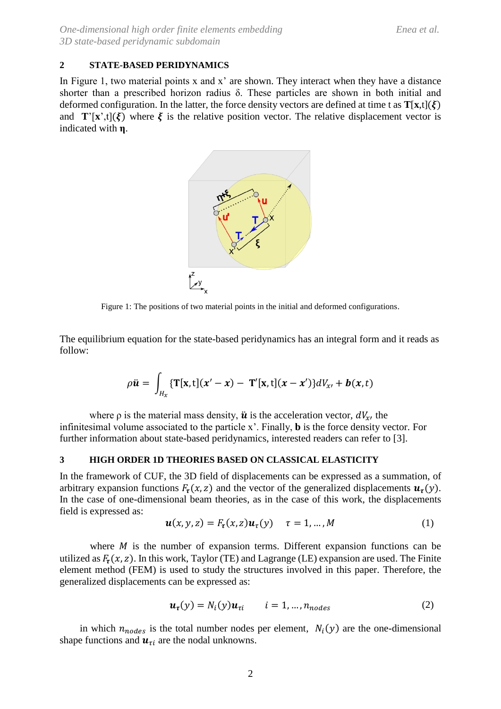#### **2 STATE-BASED PERIDYNAMICS**

In Figure 1, two material points x and x' are shown. They interact when they have a distance shorter than a prescribed horizon radius δ. These particles are shown in both initial and deformed configuration. In the latter, the force density vectors are defined at time t as  $T[x,t](\xi)$ and  $\mathbf{T}'[\mathbf{x}',t](\boldsymbol{\xi})$  where  $\boldsymbol{\xi}$  is the relative position vector. The relative displacement vector is indicated with **η**.



Figure 1: The positions of two material points in the initial and deformed configurations.

The equilibrium equation for the state-based peridynamics has an integral form and it reads as follow:

$$
\rho \ddot{\mathbf{u}} = \int_{H_x} \{ \mathbf{T}[\mathbf{x}, t](x'-x) - \mathbf{T}'[\mathbf{x}, t](x-x') \} dV_{x'} + \mathbf{b}(x, t)
$$

where  $\rho$  is the material mass density,  $\ddot{u}$  is the acceleration vector,  $dV_{x}$ , the infinitesimal volume associated to the particle x'. Finally, **b** is the force density vector. For further information about state-based peridynamics, interested readers can refer to [3].

#### **3 HIGH ORDER 1D THEORIES BASED ON CLASSICAL ELASTICITY**

In the framework of CUF, the 3D field of displacements can be expressed as a summation, of arbitrary expansion functions  $F_{\tau}(x, z)$  and the vector of the generalized displacements  $u_{\tau}(y)$ . In the case of one-dimensional beam theories, as in the case of this work, the displacements field is expressed as:

$$
\mathbf{u}(x, y, z) = F_{\tau}(x, z)\mathbf{u}_{\tau}(y) \quad \tau = 1, \dots, M \tag{1}
$$

where  $M$  is the number of expansion terms. Different expansion functions can be utilized as  $F_{\tau}(x, z)$ . In this work, Taylor (TE) and Lagrange (LE) expansion are used. The Finite element method (FEM) is used to study the structures involved in this paper. Therefore, the generalized displacements can be expressed as:

$$
\mathbf{u}_{\tau}(y) = N_i(y)\mathbf{u}_{\tau i} \qquad i = 1, \dots, n_{nodes} \tag{2}
$$

in which  $n_{nodes}$  is the total number nodes per element,  $N_i(y)$  are the one-dimensional shape functions and  $u_{\tau i}$  are the nodal unknowns.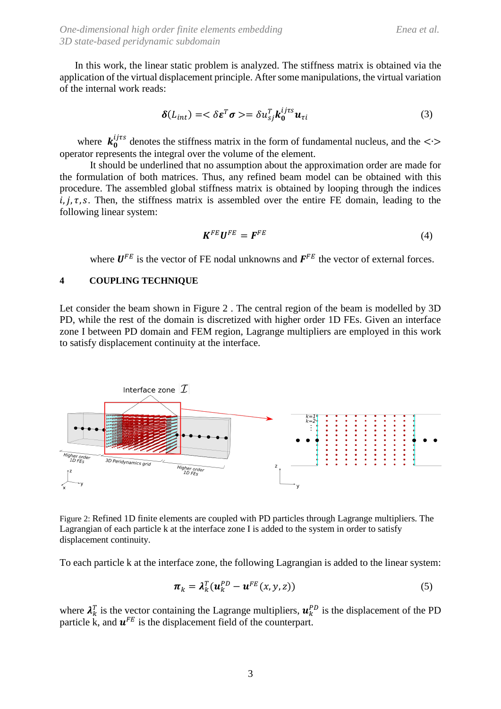In this work, the linear static problem is analyzed. The stiffness matrix is obtained via the application of the virtual displacement principle. After some manipulations, the virtual variation of the internal work reads:

$$
\delta(L_{int}) = \langle \delta \varepsilon^T \sigma \rangle = \delta u_{sj}^T k_0^{ijrs} u_{\tau i} \tag{3}
$$

where  $k_0^{ij\tau s}$  denotes the stiffness matrix in the form of fundamental nucleus, and the < $\cdot$ > operator represents the integral over the volume of the element.

It should be underlined that no assumption about the approximation order are made for the formulation of both matrices. Thus, any refined beam model can be obtained with this procedure. The assembled global stiffness matrix is obtained by looping through the indices  $i, j, \tau, s$ . Then, the stiffness matrix is assembled over the entire FE domain, leading to the following linear system:

$$
\mathbf{K}^{FE}\mathbf{U}^{FE} = \mathbf{F}^{FE} \tag{4}
$$

where  $U^{FE}$  is the vector of FE nodal unknowns and  $F^{FE}$  the vector of external forces.

#### **4 COUPLING TECHNIQUE**

Let consider the beam shown in Figure 2 . The central region of the beam is modelled by 3D PD, while the rest of the domain is discretized with higher order 1D FEs. Given an interface zone I between PD domain and FEM region, Lagrange multipliers are employed in this work to satisfy displacement continuity at the interface.



Figure 2: Refined 1D finite elements are coupled with PD particles through Lagrange multipliers. The Lagrangian of each particle k at the interface zone I is added to the system in order to satisfy displacement continuity.

To each particle k at the interface zone, the following Lagrangian is added to the linear system:

$$
\boldsymbol{\pi}_k = \boldsymbol{\lambda}_k^T (\boldsymbol{u}_k^{PD} - \boldsymbol{u}^{FE}(\boldsymbol{x}, \boldsymbol{y}, \boldsymbol{z})) \tag{5}
$$

where  $\lambda_k^T$  is the vector containing the Lagrange multipliers,  $\mathbf{u}_k^{PD}$  is the displacement of the PD particle k, and  $\mathbf{u}^{FE}$  is the displacement field of the counterpart.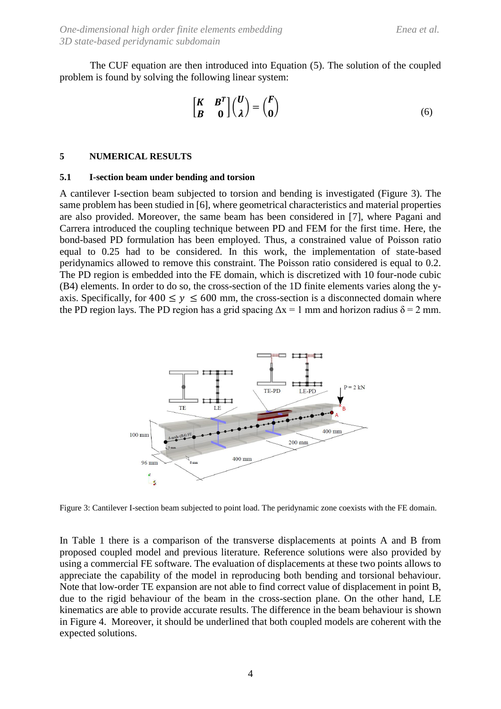The CUF equation are then introduced into Equation (5). The solution of the coupled problem is found by solving the following linear system:

$$
\begin{bmatrix} K & B^T \\ B & 0 \end{bmatrix} \begin{pmatrix} U \\ \lambda \end{pmatrix} = \begin{pmatrix} F \\ 0 \end{pmatrix}
$$
 (6)

#### **5 NUMERICAL RESULTS**

#### **5.1 I-section beam under bending and torsion**

A cantilever I-section beam subjected to torsion and bending is investigated (Figure 3). The same problem has been studied in [6], where geometrical characteristics and material properties are also provided. Moreover, the same beam has been considered in [7], where Pagani and Carrera introduced the coupling technique between PD and FEM for the first time. Here, the bond-based PD formulation has been employed. Thus, a constrained value of Poisson ratio equal to 0.25 had to be considered. In this work, the implementation of state-based peridynamics allowed to remove this constraint. The Poisson ratio considered is equal to 0.2. The PD region is embedded into the FE domain, which is discretized with 10 four-node cubic (B4) elements. In order to do so, the cross-section of the 1D finite elements varies along the yaxis. Specifically, for  $400 \le y \le 600$  mm, the cross-section is a disconnected domain where the PD region lays. The PD region has a grid spacing  $\Delta x = 1$  mm and horizon radius  $\delta = 2$  mm.



Figure 3: Cantilever I-section beam subjected to point load. The peridynamic zone coexists with the FE domain.

In Table 1 there is a comparison of the transverse displacements at points A and B from proposed coupled model and previous literature. Reference solutions were also provided by using a commercial FE software. The evaluation of displacements at these two points allows to appreciate the capability of the model in reproducing both bending and torsional behaviour. Note that low-order TE expansion are not able to find correct value of displacement in point B, due to the rigid behaviour of the beam in the cross-section plane. On the other hand, LE kinematics are able to provide accurate results. The difference in the beam behaviour is shown in Figure 4. Moreover, it should be underlined that both coupled models are coherent with the expected solutions.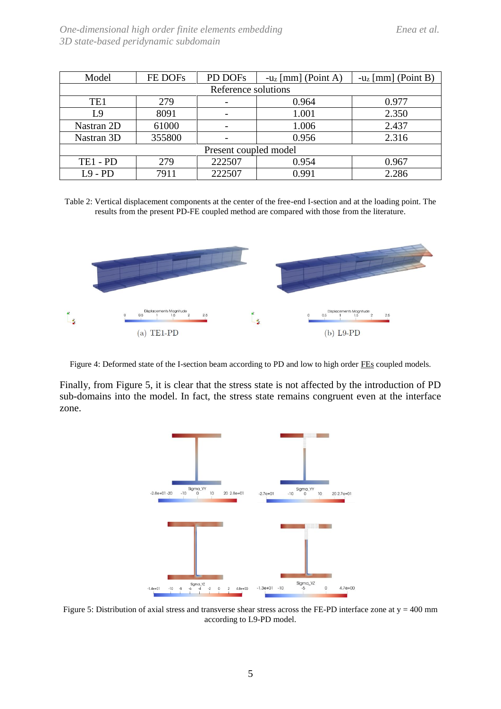| Model                 | FE DOFs | PD DOFs | - $u_z$ [mm] (Point A) | $-u_z$ [mm] (Point B) |  |
|-----------------------|---------|---------|------------------------|-----------------------|--|
| Reference solutions   |         |         |                        |                       |  |
| TE <sub>1</sub>       | 279     |         | 0.964                  | 0.977                 |  |
| L9                    | 8091    |         | 1.001                  | 2.350                 |  |
| Nastran 2D            | 61000   |         | 1.006                  | 2.437                 |  |
| Nastran 3D            | 355800  |         | 0.956                  | 2.316                 |  |
| Present coupled model |         |         |                        |                       |  |
| $TE1 - PD$            | 279     | 222507  | 0.954                  | 0.967                 |  |
| $L9 - PD$             | 7911    | 222507  | 0.991                  | 2.286                 |  |

Table 2: Vertical displacement components at the center of the free-end I-section and at the loading point. The results from the present PD-FE coupled method are compared with those from the literature.



Figure 4: Deformed state of the I-section beam according to PD and low to high order FEs coupled models.

Finally, from Figure 5, it is clear that the stress state is not affected by the introduction of PD sub-domains into the model. In fact, the stress state remains congruent even at the interface zone.



Figure 5: Distribution of axial stress and transverse shear stress across the FE-PD interface zone at  $y = 400$  mm according to L9-PD model.